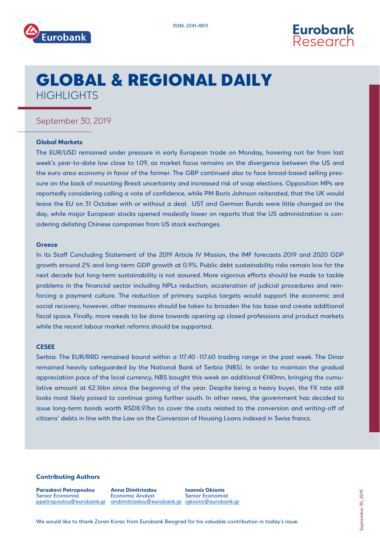



# GLOBAL & REGIONAL DAILY **HIGHLIGHTS**

### September 30, 2019

#### **Global Markets**

The EUR/USD remained under pressure in early European trade on Monday, hovering not far from last week's year-to-date low close to 1.09, as market focus remains on the divergence between the US and the euro area economy in favor of the former. The GBP continued also to face broad-based selling pressure on the back of mounting Brexit uncertainty and increased risk of snap elections. Opposition MPs are reportedly considering calling a vote of confidence, while PM Boris Johnson reiterated, that the UK would leave the EU on 31 October with or without a deal. UST and German Bunds were little changed on the day, while major European stocks opened modestly lower on reports that the US administration is considering delisting Chinese companies from US stock exchanges.

#### **Greece**

In its Staff Concluding Statement of the 2019 Article IV Mission, the IMF forecasts 2019 and 2020 GDP growth around 2% and long-term GDP growth at 0.9%. Public debt sustainability risks remain low for the next decade but long-term sustainability is not assured. More vigorous efforts should be made to tackle problems in the financial sector including NPLs reduction, acceleration of judicial procedures and reinforcing a payment culture. The reduction of primary surplus targets would support the economic and social recovery, however, other measures should be taken to broaden the tax base and create additional fiscal space. Finally, more needs to be done towards opening up closed professions and product markets while the recent labour market reforms should be supported.

#### **CESEE**

Serbia: The EUR/RRD remained bound within a 117.40 -117.60 trading range in the past week. The Dinar remained heavily safeguarded by the National Bank of Serbia (NBS). In order to maintain the gradual appreciation pace of the local currency, NBS bought this week an additional €140mn, bringing the cumulative amount at €2.16bn since the beginning of the year. Despite being a heavy buyer, the FX rate still looks most likely poised to continue going further south. In other news, the government has decided to issue long-term bonds worth RSD8.97bn to cover the costs related to the conversion and writing-off of citizens' debts in line with the Law on the Conversion of Housing Loans indexed in Swiss francs.

#### **Contributing Authors**

**Paraskevi Petropoulou** Senior Economist ppetropoulou@eurobank.gr andimitriado[u@eurobank.gr](mailto:sgogos@eurobank.gr) [igkionis@eurobank.gr](mailto:igkionis@eurobank.gr)

**Anna Dimitriadou** Economic Analyst

**Ioannis Gkionis** Senior Economist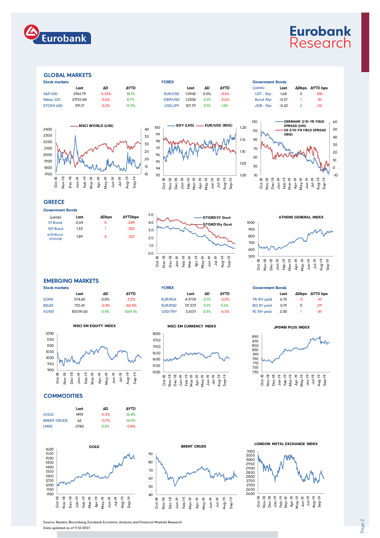

## **Eurobank** Research

#### GLOBAL MARKETS

| <b>Stock markets</b> |          |          | <b>FOREX</b> |                |        | <b>Government Bonds</b> |             |               |         |  |                     |
|----------------------|----------|----------|--------------|----------------|--------|-------------------------|-------------|---------------|---------|--|---------------------|
|                      | Last     | ΔD       | <b>AYTD</b>  |                | Last   | ΔD                      | <b>AYTD</b> | (vields)      | Last    |  | <b>ADbps AYTD b</b> |
| <b>S&amp;P 500</b>   | 2961.79  | $-0.53%$ | 18.1%        | EUR/USD        | 1.0942 | 0.0%                    | $-4.6%$     | $UST - 10vr$  | 1.68    |  | $-100$              |
| Nikkei 225           | 21755.84 | $-0.6%$  | 8.7%         | <b>GBP/USD</b> | 1.2306 | 0.1%                    | $-3.6%$     | Bund-10vr     | $-0.57$ |  | -81                 |
| STOXX 600            | 391.17   | $-0.2%$  | 15.9%        | USD/JPY        | 107.79 | 0.1%                    | 1.8%        | $JGB - 10$ vr | $-0.22$ |  | $-22$               |



| OREX           |        |  |
|----------------|--------|--|
|                | Last   |  |
| Eur/usd        | 1.0942 |  |
| <b>GBP/USD</b> | 1.2306 |  |
| 1001101        | 2077   |  |





### **GREECE**

| Government Bonds      |      |       |                |  |  |  |  |
|-----------------------|------|-------|----------------|--|--|--|--|
| (yields)              | Last | ΔDbps | <b>AYTDbps</b> |  |  |  |  |
| 5Y Bond               | 0.69 | Ω     | $-249$         |  |  |  |  |
| 10Y Bond              | 1.33 | 1     | $-302$         |  |  |  |  |
| Δ(10YBund-<br>10YGGB) | 1.89 | Ω     | $-221$         |  |  |  |  |





#### EMERGING MARKETS

| <b>Stock markets</b> |           |         | <b>FOREX</b> |                |         |      |             | <b>Government Bonds</b> |      |  |              |
|----------------------|-----------|---------|--------------|----------------|---------|------|-------------|-------------------------|------|--|--------------|
|                      | Last      | ΔC      | <b>AYTD</b>  |                | Last    | ΔD   | <b>AYTD</b> |                         | Last |  | ADbps AYTD b |
| <b>SOFIX</b>         | 574.60    | 0.0%    | $-3.3\%$     | <b>EUR/PLN</b> | 4.3759  | 0.1% | $-2.0%$     | TR 10Y vield            | 6.70 |  | $-41$        |
| <b>BELEX</b>         | 755.41    | $-0.4%$ | $-82.4%$     | <b>EUR/RSD</b> | 117.573 | 0.1% | 0.6%        | <b>BG 8Y vield</b>      | 0.19 |  | $-29$        |
| <b>XU100</b>         | 105591.60 | 0.4%    | 1569.1%      | USD/TRY        | 5.6571  | 0.3% | $-6.5%$     | PL 10Y vield            | 2.00 |  | $-81$        |

**MSCI EM EQUITY INDEX**





# Government Bonds

| TR 10Y yield       | 6.70 | -3 | -41   |
|--------------------|------|----|-------|
| <b>BG 8Y yield</b> | 0.19 | O  | $-29$ |
| PL 10Y yield       | 2.00 |    | $-81$ |

#### **JPEMBI PLUS INDEX**



**COMMODITIES** 

|                    | Last | ΔD      | ΔYTD    |
|--------------------|------|---------|---------|
| <b>GOLD</b>        | 1493 | $-0.3%$ | 16.4%   |
| <b>BRENT CRUDE</b> | 62   | $-0.7%$ | 14.3%   |
| <b>LMEX</b>        | 2780 | 0.3%    | $-0.8%$ |





**LONDON METAL EXCHANGE INDEX**



Source: Reuters, Bloomberg, Eurobank Economic Analysis and Financial Markets Research

Data updated as of 9:50 EEST